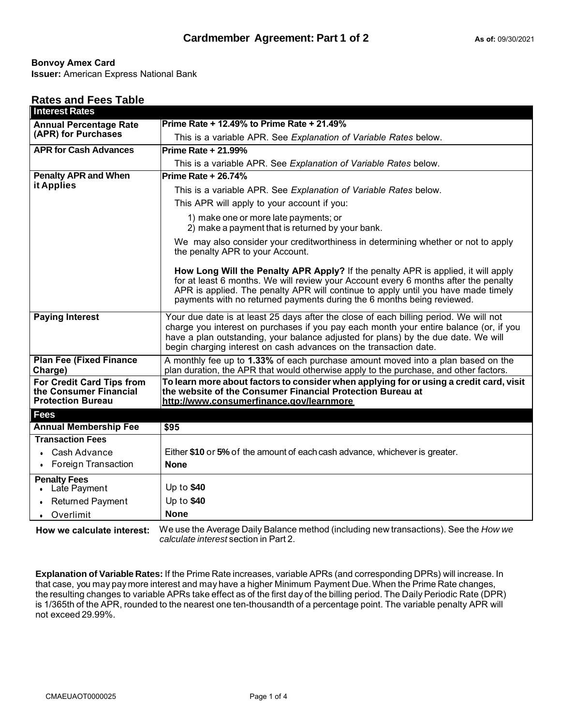## **Bonvoy Amex Card**

**Issuer:** American Express National Bank

| <b>Rates and Fees Table</b>                                                     |                                                                                                                                                                                                                                                                                                                                            |  |
|---------------------------------------------------------------------------------|--------------------------------------------------------------------------------------------------------------------------------------------------------------------------------------------------------------------------------------------------------------------------------------------------------------------------------------------|--|
| <b>Interest Rates</b>                                                           |                                                                                                                                                                                                                                                                                                                                            |  |
| <b>Annual Percentage Rate</b>                                                   | Prime Rate + 12.49% to Prime Rate + 21.49%                                                                                                                                                                                                                                                                                                 |  |
| (APR) for Purchases                                                             | This is a variable APR. See Explanation of Variable Rates below.                                                                                                                                                                                                                                                                           |  |
| <b>APR for Cash Advances</b>                                                    | Prime Rate + 21.99%                                                                                                                                                                                                                                                                                                                        |  |
|                                                                                 | This is a variable APR. See Explanation of Variable Rates below.                                                                                                                                                                                                                                                                           |  |
| <b>Penalty APR and When</b>                                                     | Prime Rate + 26.74%                                                                                                                                                                                                                                                                                                                        |  |
| it Applies                                                                      | This is a variable APR. See Explanation of Variable Rates below.                                                                                                                                                                                                                                                                           |  |
|                                                                                 | This APR will apply to your account if you:                                                                                                                                                                                                                                                                                                |  |
|                                                                                 | 1) make one or more late payments; or<br>2) make a payment that is returned by your bank.                                                                                                                                                                                                                                                  |  |
|                                                                                 | We may also consider your creditworthiness in determining whether or not to apply<br>the penalty APR to your Account.                                                                                                                                                                                                                      |  |
|                                                                                 | How Long Will the Penalty APR Apply? If the penalty APR is applied, it will apply<br>for at least 6 months. We will review your Account every 6 months after the penalty<br>APR is applied. The penalty APR will continue to apply until you have made timely<br>payments with no returned payments during the 6 months being reviewed.    |  |
| <b>Paying Interest</b>                                                          | Your due date is at least 25 days after the close of each billing period. We will not<br>charge you interest on purchases if you pay each month your entire balance (or, if you<br>have a plan outstanding, your balance adjusted for plans) by the due date. We will<br>begin charging interest on cash advances on the transaction date. |  |
| <b>Plan Fee (Fixed Finance</b><br>Charge)                                       | A monthly fee up to 1.33% of each purchase amount moved into a plan based on the<br>plan duration, the APR that would otherwise apply to the purchase, and other factors.                                                                                                                                                                  |  |
| For Credit Card Tips from<br>the Consumer Financial<br><b>Protection Bureau</b> | To learn more about factors to consider when applying for or using a credit card, visit<br>lthe website of the Consumer Financial Protection Bureau at<br>http://www.consumerfinance.gov/learnmore                                                                                                                                         |  |
| <b>Fees</b>                                                                     |                                                                                                                                                                                                                                                                                                                                            |  |
| <b>Annual Membership Fee</b>                                                    | \$95                                                                                                                                                                                                                                                                                                                                       |  |
| <b>Transaction Fees</b>                                                         |                                                                                                                                                                                                                                                                                                                                            |  |
| Cash Advance                                                                    | Either \$10 or 5% of the amount of each cash advance, whichever is greater.                                                                                                                                                                                                                                                                |  |
| • Foreign Transaction                                                           | <b>None</b>                                                                                                                                                                                                                                                                                                                                |  |
| <b>Penalty Fees</b><br>Late Payment                                             | Up to \$40                                                                                                                                                                                                                                                                                                                                 |  |
| <b>Returned Payment</b>                                                         | Up to \$40                                                                                                                                                                                                                                                                                                                                 |  |
| • Overlimit                                                                     | <b>None</b>                                                                                                                                                                                                                                                                                                                                |  |
|                                                                                 |                                                                                                                                                                                                                                                                                                                                            |  |

**How we calculate interest:** We use the Average Daily Balance method (including new transactions). See the How we *calculate interest* section in Part 2.

**Explanation of Variable Rates:** If the Prime Rate increases, variable APRs (and corresponding DPRs) will increase. In that case, you may pay more interest and may have a higher Minimum Payment Due.When the Prime Rate changes, the resulting changes to variable APRs take effect as of the first day of the billing period. The Daily Periodic Rate (DPR) is 1/365th of the APR, rounded to the nearest one ten-thousandth of a percentage point. The variable penalty APR will not exceed 29.99%.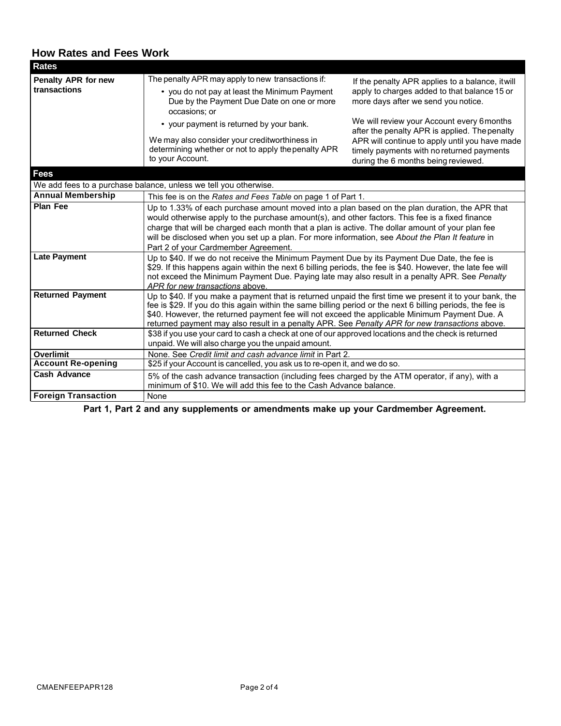## **How Rates and Fees Work**

| <b>Rates</b>               |                                                                                                                                                                                                             |                                                                                             |  |
|----------------------------|-------------------------------------------------------------------------------------------------------------------------------------------------------------------------------------------------------------|---------------------------------------------------------------------------------------------|--|
| Penalty APR for new        | The penalty APR may apply to new transactions if:                                                                                                                                                           | If the penalty APR applies to a balance, it will                                            |  |
| transactions               | • you do not pay at least the Minimum Payment<br>Due by the Payment Due Date on one or more                                                                                                                 | apply to charges added to that balance 15 or<br>more days after we send you notice.         |  |
|                            | occasions; or                                                                                                                                                                                               |                                                                                             |  |
|                            | • your payment is returned by your bank.                                                                                                                                                                    | We will review your Account every 6 months<br>after the penalty APR is applied. The penalty |  |
|                            | We may also consider your creditworthiness in                                                                                                                                                               | APR will continue to apply until you have made                                              |  |
|                            | determining whether or not to apply the penalty APR<br>to your Account.                                                                                                                                     | timely payments with no returned payments                                                   |  |
|                            |                                                                                                                                                                                                             | during the 6 months being reviewed.                                                         |  |
| <b>Fees</b>                |                                                                                                                                                                                                             |                                                                                             |  |
|                            | We add fees to a purchase balance, unless we tell you otherwise.                                                                                                                                            |                                                                                             |  |
| <b>Annual Membership</b>   | This fee is on the Rates and Fees Table on page 1 of Part 1.                                                                                                                                                |                                                                                             |  |
| <b>Plan Fee</b>            | Up to 1.33% of each purchase amount moved into a plan based on the plan duration, the APR that                                                                                                              |                                                                                             |  |
|                            | would otherwise apply to the purchase amount(s), and other factors. This fee is a fixed finance                                                                                                             |                                                                                             |  |
|                            | charge that will be charged each month that a plan is active. The dollar amount of your plan fee                                                                                                            |                                                                                             |  |
|                            | will be disclosed when you set up a plan. For more information, see About the Plan It feature in                                                                                                            |                                                                                             |  |
|                            | Part 2 of your Cardmember Agreement.                                                                                                                                                                        |                                                                                             |  |
| <b>Late Payment</b>        | Up to \$40. If we do not receive the Minimum Payment Due by its Payment Due Date, the fee is                                                                                                                |                                                                                             |  |
|                            | \$29. If this happens again within the next 6 billing periods, the fee is \$40. However, the late fee will<br>not exceed the Minimum Payment Due. Paying late may also result in a penalty APR. See Penalty |                                                                                             |  |
|                            | APR for new transactions above.                                                                                                                                                                             |                                                                                             |  |
| <b>Returned Payment</b>    | Up to \$40. If you make a payment that is returned unpaid the first time we present it to your bank, the                                                                                                    |                                                                                             |  |
|                            | fee is \$29. If you do this again within the same billing period or the next 6 billing periods, the fee is                                                                                                  |                                                                                             |  |
|                            | \$40. However, the returned payment fee will not exceed the applicable Minimum Payment Due. A                                                                                                               |                                                                                             |  |
|                            | returned payment may also result in a penalty APR. See Penalty APR for new transactions above.                                                                                                              |                                                                                             |  |
| <b>Returned Check</b>      | \$38 if you use your card to cash a check at one of our approved locations and the check is returned                                                                                                        |                                                                                             |  |
|                            | unpaid. We will also charge you the unpaid amount.                                                                                                                                                          |                                                                                             |  |
| <b>Overlimit</b>           | None. See Credit limit and cash advance limit in Part 2.                                                                                                                                                    |                                                                                             |  |
| <b>Account Re-opening</b>  | \$25 if your Account is cancelled, you ask us to re-open it, and we do so.                                                                                                                                  |                                                                                             |  |
| <b>Cash Advance</b>        | 5% of the cash advance transaction (including fees charged by the ATM operator, if any), with a<br>minimum of \$10. We will add this fee to the Cash Advance balance.                                       |                                                                                             |  |
| <b>Foreign Transaction</b> | None                                                                                                                                                                                                        |                                                                                             |  |

**Part 1, Part 2 and any supplements or amendments make up your Cardmember Agreement.**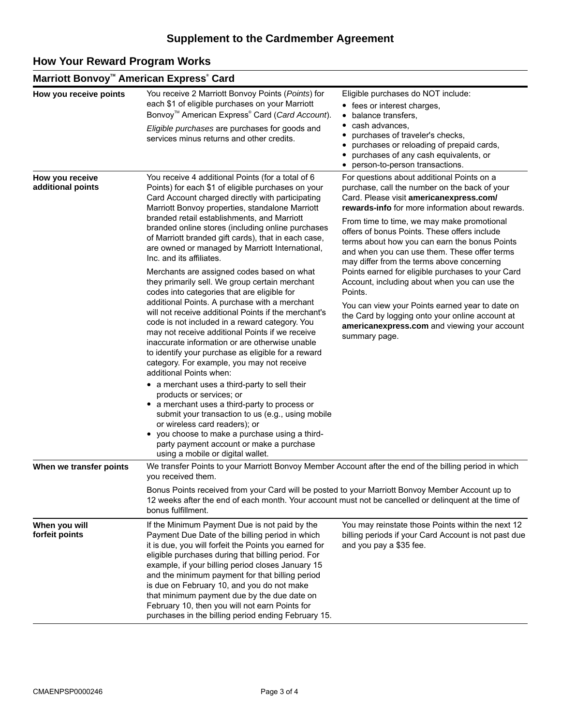| Marriott Bonvoy <sup>™</sup> American Express <sup>®</sup> Card |                                                                                                                                                                                                                                                                                                                                                                                                                                                                                                                                                                                                                                                                                                                                                                                                                                                                                                                                                                                                                                                                                                                                                                                                                                                                                                                                                               |                                                                                                                                                                                                                                                                                                                                                                                                                                                                                                                                                                                                                                                                                                                                 |
|-----------------------------------------------------------------|---------------------------------------------------------------------------------------------------------------------------------------------------------------------------------------------------------------------------------------------------------------------------------------------------------------------------------------------------------------------------------------------------------------------------------------------------------------------------------------------------------------------------------------------------------------------------------------------------------------------------------------------------------------------------------------------------------------------------------------------------------------------------------------------------------------------------------------------------------------------------------------------------------------------------------------------------------------------------------------------------------------------------------------------------------------------------------------------------------------------------------------------------------------------------------------------------------------------------------------------------------------------------------------------------------------------------------------------------------------|---------------------------------------------------------------------------------------------------------------------------------------------------------------------------------------------------------------------------------------------------------------------------------------------------------------------------------------------------------------------------------------------------------------------------------------------------------------------------------------------------------------------------------------------------------------------------------------------------------------------------------------------------------------------------------------------------------------------------------|
| How you receive points                                          | You receive 2 Marriott Bonvoy Points (Points) for<br>each \$1 of eligible purchases on your Marriott<br>Bonvoy <sup>™</sup> American Express <sup>®</sup> Card (Card Account).<br>Eligible purchases are purchases for goods and<br>services minus returns and other credits.                                                                                                                                                                                                                                                                                                                                                                                                                                                                                                                                                                                                                                                                                                                                                                                                                                                                                                                                                                                                                                                                                 | Eligible purchases do NOT include:<br>• fees or interest charges,<br>• balance transfers,<br>• cash advances,<br>purchases of traveler's checks,<br>purchases or reloading of prepaid cards,<br>purchases of any cash equivalents, or<br>• person-to-person transactions.                                                                                                                                                                                                                                                                                                                                                                                                                                                       |
| How you receive<br>additional points                            | You receive 4 additional Points (for a total of 6<br>Points) for each \$1 of eligible purchases on your<br>Card Account charged directly with participating<br>Marriott Bonvoy properties, standalone Marriott<br>branded retail establishments, and Marriott<br>branded online stores (including online purchases<br>of Marriott branded gift cards), that in each case,<br>are owned or managed by Marriott International,<br>Inc. and its affiliates.<br>Merchants are assigned codes based on what<br>they primarily sell. We group certain merchant<br>codes into categories that are eligible for<br>additional Points. A purchase with a merchant<br>will not receive additional Points if the merchant's<br>code is not included in a reward category. You<br>may not receive additional Points if we receive<br>inaccurate information or are otherwise unable<br>to identify your purchase as eligible for a reward<br>category. For example, you may not receive<br>additional Points when:<br>• a merchant uses a third-party to sell their<br>products or services; or<br>• a merchant uses a third-party to process or<br>submit your transaction to us (e.g., using mobile<br>or wireless card readers); or<br>• you choose to make a purchase using a third-<br>party payment account or make a purchase<br>using a mobile or digital wallet. | For questions about additional Points on a<br>purchase, call the number on the back of your<br>Card. Please visit americanexpress.com/<br>rewards-info for more information about rewards.<br>From time to time, we may make promotional<br>offers of bonus Points. These offers include<br>terms about how you can earn the bonus Points<br>and when you can use them. These offer terms<br>may differ from the terms above concerning<br>Points earned for eligible purchases to your Card<br>Account, including about when you can use the<br>Points.<br>You can view your Points earned year to date on<br>the Card by logging onto your online account at<br>americanexpress.com and viewing your account<br>summary page. |
| When we transfer points                                         | We transfer Points to your Marriott Bonvoy Member Account after the end of the billing period in which<br>you received them.<br>Bonus Points received from your Card will be posted to your Marriott Bonvoy Member Account up to<br>12 weeks after the end of each month. Your account must not be cancelled or delinquent at the time of<br>bonus fulfillment.                                                                                                                                                                                                                                                                                                                                                                                                                                                                                                                                                                                                                                                                                                                                                                                                                                                                                                                                                                                               |                                                                                                                                                                                                                                                                                                                                                                                                                                                                                                                                                                                                                                                                                                                                 |
| When you will<br>forfeit points                                 | If the Minimum Payment Due is not paid by the<br>Payment Due Date of the billing period in which<br>it is due, you will forfeit the Points you earned for<br>eligible purchases during that billing period. For<br>example, if your billing period closes January 15<br>and the minimum payment for that billing period<br>is due on February 10, and you do not make<br>that minimum payment due by the due date on<br>February 10, then you will not earn Points for<br>purchases in the billing period ending February 15.                                                                                                                                                                                                                                                                                                                                                                                                                                                                                                                                                                                                                                                                                                                                                                                                                                 | You may reinstate those Points within the next 12<br>billing periods if your Card Account is not past due<br>and you pay a \$35 fee.                                                                                                                                                                                                                                                                                                                                                                                                                                                                                                                                                                                            |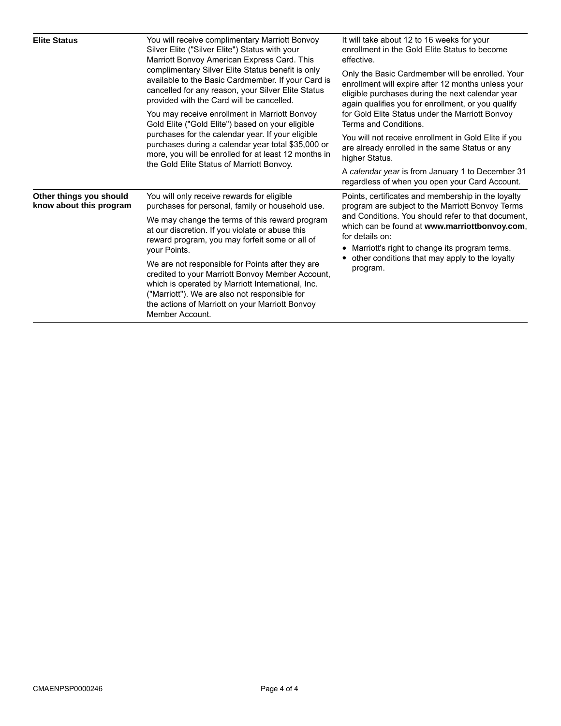| <b>Elite Status</b>                                | You will receive complimentary Marriott Bonvoy<br>Silver Elite ("Silver Elite") Status with your<br>Marriott Bonvoy American Express Card. This<br>complimentary Silver Elite Status benefit is only<br>available to the Basic Cardmember. If your Card is<br>cancelled for any reason, your Silver Elite Status<br>provided with the Card will be cancelled.<br>You may receive enrollment in Marriott Bonvoy<br>Gold Elite ("Gold Elite") based on your eligible<br>purchases for the calendar year. If your eligible<br>purchases during a calendar year total \$35,000 or<br>more, you will be enrolled for at least 12 months in<br>the Gold Elite Status of Marriott Bonvoy. | It will take about 12 to 16 weeks for your<br>enrollment in the Gold Elite Status to become<br>effective.                                                                                                                                                                                    |
|----------------------------------------------------|------------------------------------------------------------------------------------------------------------------------------------------------------------------------------------------------------------------------------------------------------------------------------------------------------------------------------------------------------------------------------------------------------------------------------------------------------------------------------------------------------------------------------------------------------------------------------------------------------------------------------------------------------------------------------------|----------------------------------------------------------------------------------------------------------------------------------------------------------------------------------------------------------------------------------------------------------------------------------------------|
|                                                    |                                                                                                                                                                                                                                                                                                                                                                                                                                                                                                                                                                                                                                                                                    | Only the Basic Cardmember will be enrolled. Your<br>enrollment will expire after 12 months unless your<br>eligible purchases during the next calendar year<br>again qualifies you for enrollment, or you qualify<br>for Gold Elite Status under the Marriott Bonvoy<br>Terms and Conditions. |
|                                                    |                                                                                                                                                                                                                                                                                                                                                                                                                                                                                                                                                                                                                                                                                    |                                                                                                                                                                                                                                                                                              |
|                                                    |                                                                                                                                                                                                                                                                                                                                                                                                                                                                                                                                                                                                                                                                                    | You will not receive enrollment in Gold Elite if you<br>are already enrolled in the same Status or any<br>higher Status.                                                                                                                                                                     |
|                                                    |                                                                                                                                                                                                                                                                                                                                                                                                                                                                                                                                                                                                                                                                                    | A calendar year is from January 1 to December 31<br>regardless of when you open your Card Account.                                                                                                                                                                                           |
| Other things you should<br>know about this program | You will only receive rewards for eligible<br>purchases for personal, family or household use.                                                                                                                                                                                                                                                                                                                                                                                                                                                                                                                                                                                     | Points, certificates and membership in the loyalty<br>program are subject to the Marriott Bonvoy Terms                                                                                                                                                                                       |
|                                                    | We may change the terms of this reward program<br>at our discretion. If you violate or abuse this<br>reward program, you may forfeit some or all of<br>your Points.                                                                                                                                                                                                                                                                                                                                                                                                                                                                                                                | and Conditions. You should refer to that document,<br>which can be found at www.marriottbonvoy.com,<br>for details on:<br>• Marriott's right to change its program terms.                                                                                                                    |
|                                                    | We are not responsible for Points after they are<br>credited to your Marriott Bonvoy Member Account,<br>which is operated by Marriott International, Inc.<br>("Marriott"). We are also not responsible for<br>the actions of Marriott on your Marriott Bonvoy<br>Member Account.                                                                                                                                                                                                                                                                                                                                                                                                   | other conditions that may apply to the loyalty<br>program.                                                                                                                                                                                                                                   |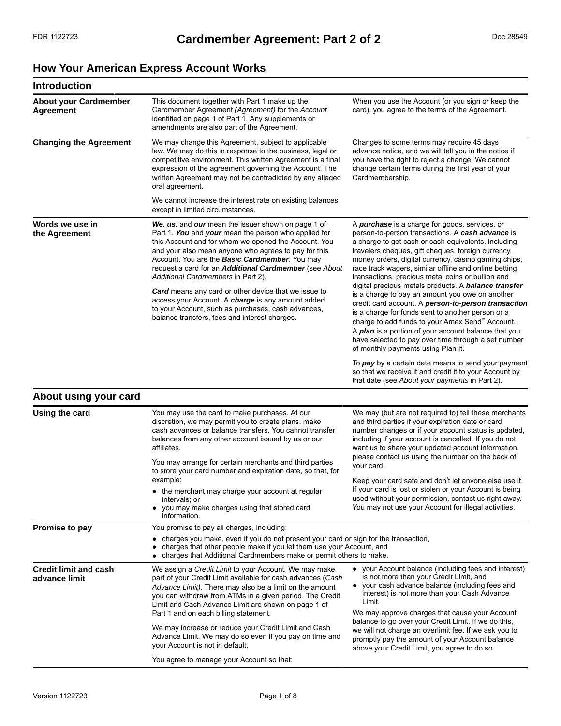# **How Your American Express Account Works**

| <b>Introduction</b>                              |                                                                                                                                                                                                                                                                                                                                                                                                                                                                                                                                                                                                                 |                                                                                                                                                                                                                                                                                                                                                                                                                                                                                                                                                                                                                                                                                                                                                                                                                                           |
|--------------------------------------------------|-----------------------------------------------------------------------------------------------------------------------------------------------------------------------------------------------------------------------------------------------------------------------------------------------------------------------------------------------------------------------------------------------------------------------------------------------------------------------------------------------------------------------------------------------------------------------------------------------------------------|-------------------------------------------------------------------------------------------------------------------------------------------------------------------------------------------------------------------------------------------------------------------------------------------------------------------------------------------------------------------------------------------------------------------------------------------------------------------------------------------------------------------------------------------------------------------------------------------------------------------------------------------------------------------------------------------------------------------------------------------------------------------------------------------------------------------------------------------|
| <b>About your Cardmember</b><br><b>Agreement</b> | This document together with Part 1 make up the<br>Cardmember Agreement (Agreement) for the Account<br>identified on page 1 of Part 1. Any supplements or<br>amendments are also part of the Agreement.                                                                                                                                                                                                                                                                                                                                                                                                          | When you use the Account (or you sign or keep the<br>card), you agree to the terms of the Agreement.                                                                                                                                                                                                                                                                                                                                                                                                                                                                                                                                                                                                                                                                                                                                      |
| <b>Changing the Agreement</b>                    | We may change this Agreement, subject to applicable<br>law. We may do this in response to the business, legal or<br>competitive environment. This written Agreement is a final<br>expression of the agreement governing the Account. The<br>written Agreement may not be contradicted by any alleged<br>oral agreement.                                                                                                                                                                                                                                                                                         | Changes to some terms may require 45 days<br>advance notice, and we will tell you in the notice if<br>you have the right to reject a change. We cannot<br>change certain terms during the first year of your<br>Cardmembership.                                                                                                                                                                                                                                                                                                                                                                                                                                                                                                                                                                                                           |
|                                                  | We cannot increase the interest rate on existing balances<br>except in limited circumstances.                                                                                                                                                                                                                                                                                                                                                                                                                                                                                                                   |                                                                                                                                                                                                                                                                                                                                                                                                                                                                                                                                                                                                                                                                                                                                                                                                                                           |
| Words we use in<br>the Agreement                 | We, us, and our mean the issuer shown on page 1 of<br>Part 1. You and your mean the person who applied for<br>this Account and for whom we opened the Account. You<br>and your also mean anyone who agrees to pay for this<br>Account. You are the <b>Basic Cardmember</b> . You may<br>request a card for an Additional Cardmember (see About<br>Additional Cardmembers in Part 2).<br><b>Card</b> means any card or other device that we issue to<br>access your Account. A charge is any amount added<br>to your Account, such as purchases, cash advances,<br>balance transfers, fees and interest charges. | A <b>purchase</b> is a charge for goods, services, or<br>person-to-person transactions. A cash advance is<br>a charge to get cash or cash equivalents, including<br>travelers cheques, gift cheques, foreign currency,<br>money orders, digital currency, casino gaming chips,<br>race track wagers, similar offline and online betting<br>transactions, precious metal coins or bullion and<br>digital precious metals products. A <b>balance transfer</b><br>is a charge to pay an amount you owe on another<br>credit card account. A person-to-person transaction<br>is a charge for funds sent to another person or a<br>charge to add funds to your Amex Send" Account.<br>A <i>plan</i> is a portion of your account balance that you<br>have selected to pay over time through a set number<br>of monthly payments using Plan It. |
|                                                  |                                                                                                                                                                                                                                                                                                                                                                                                                                                                                                                                                                                                                 | To pay by a certain date means to send your payment<br>so that we receive it and credit it to your Account by<br>that date (see About your payments in Part 2).                                                                                                                                                                                                                                                                                                                                                                                                                                                                                                                                                                                                                                                                           |

| About using your card |  |
|-----------------------|--|
|                       |  |

| You may use the card to make purchases. At our<br>discretion, we may permit you to create plans, make<br>cash advances or balance transfers. You cannot transfer<br>balances from any other account issued by us or our<br>affiliates.<br>You may arrange for certain merchants and third parties<br>to store your card number and expiration date, so that, for<br>example:<br>• the merchant may charge your account at regular<br>intervals; or<br>• you may make charges using that stored card<br>information. | We may (but are not required to) tell these merchants<br>and third parties if your expiration date or card<br>number changes or if your account status is updated,<br>including if your account is cancelled. If you do not<br>want us to share your updated account information,<br>please contact us using the number on the back of<br>your card.<br>Keep your card safe and don't let anyone else use it.<br>If your card is lost or stolen or your Account is being<br>used without your permission, contact us right away.<br>You may not use your Account for illegal activities. |
|---------------------------------------------------------------------------------------------------------------------------------------------------------------------------------------------------------------------------------------------------------------------------------------------------------------------------------------------------------------------------------------------------------------------------------------------------------------------------------------------------------------------|------------------------------------------------------------------------------------------------------------------------------------------------------------------------------------------------------------------------------------------------------------------------------------------------------------------------------------------------------------------------------------------------------------------------------------------------------------------------------------------------------------------------------------------------------------------------------------------|
| You promise to pay all charges, including:<br>• charges you make, even if you do not present your card or sign for the transaction,<br>charges that other people make if you let them use your Account, and<br>charges that Additional Cardmembers make or permit others to make.                                                                                                                                                                                                                                   |                                                                                                                                                                                                                                                                                                                                                                                                                                                                                                                                                                                          |
| We assign a Credit Limit to your Account. We may make<br>part of your Credit Limit available for cash advances (Cash<br>Advance Limit). There may also be a limit on the amount<br>you can withdraw from ATMs in a given period. The Credit<br>Limit and Cash Advance Limit are shown on page 1 of<br>Part 1 and on each billing statement.<br>We may increase or reduce your Credit Limit and Cash<br>Advance Limit. We may do so even if you pay on time and<br>your Account is not in default.                   | • your Account balance (including fees and interest)<br>is not more than your Credit Limit, and<br>your cash advance balance (including fees and<br>$\bullet$<br>interest) is not more than your Cash Advance<br>Limit.<br>We may approve charges that cause your Account<br>balance to go over your Credit Limit. If we do this,<br>we will not charge an overlimit fee. If we ask you to<br>promptly pay the amount of your Account balance<br>above your Credit Limit, you agree to do so.                                                                                            |
|                                                                                                                                                                                                                                                                                                                                                                                                                                                                                                                     | You agree to manage your Account so that:                                                                                                                                                                                                                                                                                                                                                                                                                                                                                                                                                |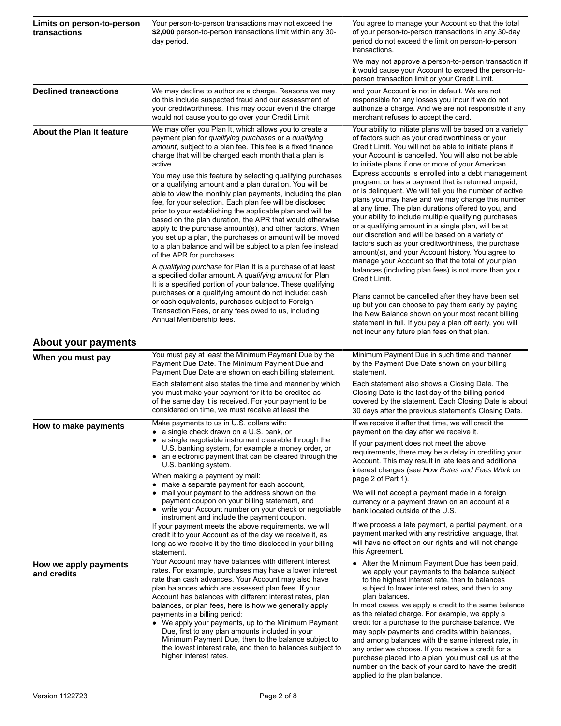| Limits on person-to-person<br>transactions | Your person-to-person transactions may not exceed the<br>\$2,000 person-to-person transactions limit within any 30-<br>day period.                                                                                                                                                                                                                                                                                                                                                                                                                                                                                                                                                                                                                                                                                                                                                                                                                                           | You agree to manage your Account so that the total<br>of your person-to-person transactions in any 30-day<br>period do not exceed the limit on person-to-person<br>transactions.                                                                                                                                                                                                                                                                                                                                                                                                                                                                                                                                                                                                                                                                                                                                                                                                        |
|--------------------------------------------|------------------------------------------------------------------------------------------------------------------------------------------------------------------------------------------------------------------------------------------------------------------------------------------------------------------------------------------------------------------------------------------------------------------------------------------------------------------------------------------------------------------------------------------------------------------------------------------------------------------------------------------------------------------------------------------------------------------------------------------------------------------------------------------------------------------------------------------------------------------------------------------------------------------------------------------------------------------------------|-----------------------------------------------------------------------------------------------------------------------------------------------------------------------------------------------------------------------------------------------------------------------------------------------------------------------------------------------------------------------------------------------------------------------------------------------------------------------------------------------------------------------------------------------------------------------------------------------------------------------------------------------------------------------------------------------------------------------------------------------------------------------------------------------------------------------------------------------------------------------------------------------------------------------------------------------------------------------------------------|
|                                            |                                                                                                                                                                                                                                                                                                                                                                                                                                                                                                                                                                                                                                                                                                                                                                                                                                                                                                                                                                              | We may not approve a person-to-person transaction if<br>it would cause your Account to exceed the person-to-<br>person transaction limit or your Credit Limit.                                                                                                                                                                                                                                                                                                                                                                                                                                                                                                                                                                                                                                                                                                                                                                                                                          |
| <b>Declined transactions</b>               | We may decline to authorize a charge. Reasons we may<br>do this include suspected fraud and our assessment of<br>your creditworthiness. This may occur even if the charge<br>would not cause you to go over your Credit Limit                                                                                                                                                                                                                                                                                                                                                                                                                                                                                                                                                                                                                                                                                                                                                | and your Account is not in default. We are not<br>responsible for any losses you incur if we do not<br>authorize a charge. And we are not responsible if any<br>merchant refuses to accept the card.                                                                                                                                                                                                                                                                                                                                                                                                                                                                                                                                                                                                                                                                                                                                                                                    |
| About the Plan It feature                  | We may offer you Plan It, which allows you to create a<br>payment plan for qualifying purchases or a qualifying<br>amount, subject to a plan fee. This fee is a fixed finance<br>charge that will be charged each month that a plan is<br>active.<br>You may use this feature by selecting qualifying purchases<br>or a qualifying amount and a plan duration. You will be<br>able to view the monthly plan payments, including the plan<br>fee, for your selection. Each plan fee will be disclosed<br>prior to your establishing the applicable plan and will be<br>based on the plan duration, the APR that would otherwise<br>apply to the purchase amount(s), and other factors. When<br>you set up a plan, the purchases or amount will be moved<br>to a plan balance and will be subject to a plan fee instead<br>of the APR for purchases.<br>A qualifying purchase for Plan It is a purchase of at least<br>a specified dollar amount. A qualifying amount for Plan | Your ability to initiate plans will be based on a variety<br>of factors such as your creditworthiness or your<br>Credit Limit. You will not be able to initiate plans if<br>your Account is cancelled. You will also not be able<br>to initiate plans if one or more of your American<br>Express accounts is enrolled into a debt management<br>program, or has a payment that is returned unpaid,<br>or is delinquent. We will tell you the number of active<br>plans you may have and we may change this number<br>at any time. The plan durations offered to you, and<br>your ability to include multiple qualifying purchases<br>or a qualifying amount in a single plan, will be at<br>our discretion and will be based on a variety of<br>factors such as your creditworthiness, the purchase<br>amount(s), and your Account history. You agree to<br>manage your Account so that the total of your plan<br>balances (including plan fees) is not more than your<br>Credit Limit. |
|                                            | It is a specified portion of your balance. These qualifying<br>purchases or a qualifying amount do not include: cash<br>or cash equivalents, purchases subject to Foreign<br>Transaction Fees, or any fees owed to us, including<br>Annual Membership fees.                                                                                                                                                                                                                                                                                                                                                                                                                                                                                                                                                                                                                                                                                                                  | Plans cannot be cancelled after they have been set<br>up but you can choose to pay them early by paying<br>the New Balance shown on your most recent billing<br>statement in full. If you pay a plan off early, you will<br>not incur any future plan fees on that plan.                                                                                                                                                                                                                                                                                                                                                                                                                                                                                                                                                                                                                                                                                                                |
| About your payments                        |                                                                                                                                                                                                                                                                                                                                                                                                                                                                                                                                                                                                                                                                                                                                                                                                                                                                                                                                                                              |                                                                                                                                                                                                                                                                                                                                                                                                                                                                                                                                                                                                                                                                                                                                                                                                                                                                                                                                                                                         |
| When you must pay                          | You must pay at least the Minimum Payment Due by the<br>Payment Due Date. The Minimum Payment Due and<br>Payment Due Date are shown on each billing statement.                                                                                                                                                                                                                                                                                                                                                                                                                                                                                                                                                                                                                                                                                                                                                                                                               | Minimum Payment Due in such time and manner<br>by the Payment Due Date shown on your billing<br>statement.                                                                                                                                                                                                                                                                                                                                                                                                                                                                                                                                                                                                                                                                                                                                                                                                                                                                              |
|                                            | Each statement also states the time and manner by which<br>you must make your payment for it to be credited as<br>of the same day it is received. For your payment to be<br>considered on time, we must receive at least the                                                                                                                                                                                                                                                                                                                                                                                                                                                                                                                                                                                                                                                                                                                                                 | Each statement also shows a Closing Date. The<br>Closing Date is the last day of the billing period<br>covered by the statement. Each Closing Date is about<br>30 days after the previous statement's Closing Date.                                                                                                                                                                                                                                                                                                                                                                                                                                                                                                                                                                                                                                                                                                                                                                     |
| How to make payments                       | Make payments to us in U.S. dollars with:                                                                                                                                                                                                                                                                                                                                                                                                                                                                                                                                                                                                                                                                                                                                                                                                                                                                                                                                    | If we receive it after that time, we will credit the                                                                                                                                                                                                                                                                                                                                                                                                                                                                                                                                                                                                                                                                                                                                                                                                                                                                                                                                    |
|                                            | • a single check drawn on a U.S. bank, or<br>a single negotiable instrument clearable through the<br>U.S. banking system, for example a money order, or<br>$\bullet$ an electronic payment that can be cleared through the<br>U.S. banking system.<br>When making a payment by mail:<br>• make a separate payment for each account,                                                                                                                                                                                                                                                                                                                                                                                                                                                                                                                                                                                                                                          | payment on the day after we receive it.<br>If your payment does not meet the above<br>requirements, there may be a delay in crediting your<br>Account. This may result in late fees and additional<br>interest charges (see How Rates and Fees Work on<br>page 2 of Part 1).                                                                                                                                                                                                                                                                                                                                                                                                                                                                                                                                                                                                                                                                                                            |
|                                            | mail your payment to the address shown on the<br>payment coupon on your billing statement, and<br>• write your Account number on your check or negotiable<br>instrument and include the payment coupon.                                                                                                                                                                                                                                                                                                                                                                                                                                                                                                                                                                                                                                                                                                                                                                      | We will not accept a payment made in a foreign<br>currency or a payment drawn on an account at a<br>bank located outside of the U.S.                                                                                                                                                                                                                                                                                                                                                                                                                                                                                                                                                                                                                                                                                                                                                                                                                                                    |
|                                            | If your payment meets the above requirements, we will<br>credit it to your Account as of the day we receive it, as<br>long as we receive it by the time disclosed in your billing<br>statement.                                                                                                                                                                                                                                                                                                                                                                                                                                                                                                                                                                                                                                                                                                                                                                              | If we process a late payment, a partial payment, or a<br>payment marked with any restrictive language, that<br>will have no effect on our rights and will not change<br>this Agreement.                                                                                                                                                                                                                                                                                                                                                                                                                                                                                                                                                                                                                                                                                                                                                                                                 |
| How we apply payments<br>and credits       | Your Account may have balances with different interest<br>rates. For example, purchases may have a lower interest<br>rate than cash advances. Your Account may also have<br>plan balances which are assessed plan fees. If your<br>Account has balances with different interest rates, plan<br>balances, or plan fees, here is how we generally apply<br>payments in a billing period:<br>• We apply your payments, up to the Minimum Payment<br>Due, first to any plan amounts included in your<br>Minimum Payment Due, then to the balance subject to<br>the lowest interest rate, and then to balances subject to<br>higher interest rates.                                                                                                                                                                                                                                                                                                                               | • After the Minimum Payment Due has been paid,<br>we apply your payments to the balance subject<br>to the highest interest rate, then to balances<br>subject to lower interest rates, and then to any<br>plan balances.<br>In most cases, we apply a credit to the same balance<br>as the related charge. For example, we apply a<br>credit for a purchase to the purchase balance. We<br>may apply payments and credits within balances,<br>and among balances with the same interest rate, in<br>any order we choose. If you receive a credit for a<br>purchase placed into a plan, you must call us at the<br>number on the back of your card to have the credit<br>applied to the plan balance.                                                                                                                                                                                                                                                                                     |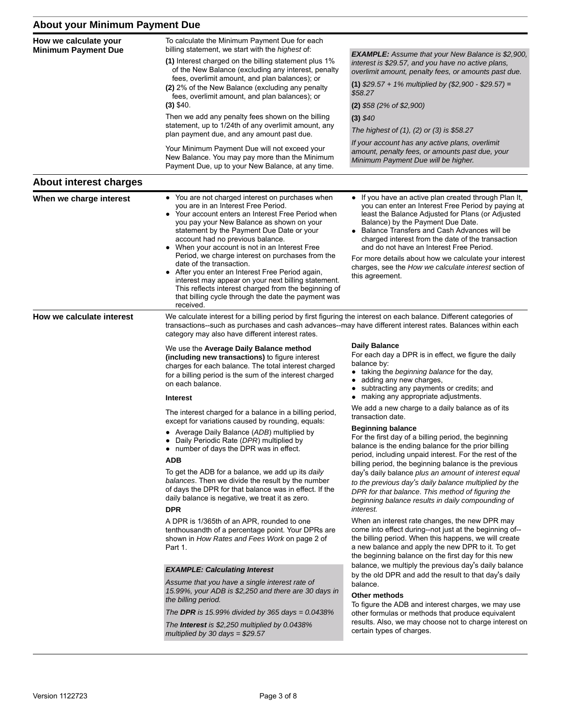## **About your Minimum Payment Due**

| How we calculate your      | To calculate the Minimum Payment Due for each                                                                                                                                                                                                                                                                                                                                                                                                                                                                                                                                                                                                        |                                                                                                                                                                                                                                                                                                                                                                                                                                                                                                           |
|----------------------------|------------------------------------------------------------------------------------------------------------------------------------------------------------------------------------------------------------------------------------------------------------------------------------------------------------------------------------------------------------------------------------------------------------------------------------------------------------------------------------------------------------------------------------------------------------------------------------------------------------------------------------------------------|-----------------------------------------------------------------------------------------------------------------------------------------------------------------------------------------------------------------------------------------------------------------------------------------------------------------------------------------------------------------------------------------------------------------------------------------------------------------------------------------------------------|
| <b>Minimum Payment Due</b> | billing statement, we start with the <i>highest</i> of:<br>(1) Interest charged on the billing statement plus 1%<br>of the New Balance (excluding any interest, penalty<br>fees, overlimit amount, and plan balances); or<br>(2) 2% of the New Balance (excluding any penalty<br>fees, overlimit amount, and plan balances); or<br>$(3)$ \$40.                                                                                                                                                                                                                                                                                                       | <b>EXAMPLE:</b> Assume that your New Balance is \$2,900,<br>interest is \$29.57, and you have no active plans,<br>overlimit amount, penalty fees, or amounts past due.                                                                                                                                                                                                                                                                                                                                    |
|                            |                                                                                                                                                                                                                                                                                                                                                                                                                                                                                                                                                                                                                                                      | (1) $$29.57 + 1\%$ multiplied by (\$2,900 - \$29.57) =<br>\$58.27                                                                                                                                                                                                                                                                                                                                                                                                                                         |
|                            |                                                                                                                                                                                                                                                                                                                                                                                                                                                                                                                                                                                                                                                      | $(2)$ \$58 (2% of \$2,900)                                                                                                                                                                                                                                                                                                                                                                                                                                                                                |
|                            | Then we add any penalty fees shown on the billing                                                                                                                                                                                                                                                                                                                                                                                                                                                                                                                                                                                                    | $(3)$ \$40                                                                                                                                                                                                                                                                                                                                                                                                                                                                                                |
|                            | statement, up to 1/24th of any overlimit amount, any<br>plan payment due, and any amount past due.                                                                                                                                                                                                                                                                                                                                                                                                                                                                                                                                                   | The highest of (1), (2) or (3) is \$58.27                                                                                                                                                                                                                                                                                                                                                                                                                                                                 |
|                            | Your Minimum Payment Due will not exceed your<br>New Balance. You may pay more than the Minimum<br>Payment Due, up to your New Balance, at any time.                                                                                                                                                                                                                                                                                                                                                                                                                                                                                                 | If your account has any active plans, overlimit<br>amount, penalty fees, or amounts past due, your<br>Minimum Payment Due will be higher.                                                                                                                                                                                                                                                                                                                                                                 |
| About interest charges     |                                                                                                                                                                                                                                                                                                                                                                                                                                                                                                                                                                                                                                                      |                                                                                                                                                                                                                                                                                                                                                                                                                                                                                                           |
| When we charge interest    | • You are not charged interest on purchases when<br>you are in an Interest Free Period.<br>• Your account enters an Interest Free Period when<br>you pay your New Balance as shown on your<br>statement by the Payment Due Date or your<br>account had no previous balance.<br>• When your account is not in an Interest Free<br>Period, we charge interest on purchases from the<br>date of the transaction.<br>• After you enter an Interest Free Period again,<br>interest may appear on your next billing statement.<br>This reflects interest charged from the beginning of<br>that billing cycle through the date the payment was<br>received. | • If you have an active plan created through Plan It,<br>you can enter an Interest Free Period by paying at<br>least the Balance Adjusted for Plans (or Adjusted<br>Balance) by the Payment Due Date.<br>• Balance Transfers and Cash Advances will be<br>charged interest from the date of the transaction<br>and do not have an Interest Free Period.<br>For more details about how we calculate your interest<br>charges, see the How we calculate interest section of<br>this agreement.              |
| How we calculate interest  | We calculate interest for a billing period by first figuring the interest on each balance. Different categories of<br>transactions--such as purchases and cash advances--may have different interest rates. Balances within each<br>category may also have different interest rates.                                                                                                                                                                                                                                                                                                                                                                 |                                                                                                                                                                                                                                                                                                                                                                                                                                                                                                           |
|                            | We use the Average Daily Balance method<br>(including new transactions) to figure interest<br>charges for each balance. The total interest charged<br>for a billing period is the sum of the interest charged<br>on each balance.<br><b>Interest</b>                                                                                                                                                                                                                                                                                                                                                                                                 | <b>Daily Balance</b><br>For each day a DPR is in effect, we figure the daily<br>balance by:<br>• taking the beginning balance for the day,<br>• adding any new charges,<br>• subtracting any payments or credits; and<br>• making any appropriate adjustments.                                                                                                                                                                                                                                            |
|                            | The interest charged for a balance in a billing period,<br>except for variations caused by rounding, equals:                                                                                                                                                                                                                                                                                                                                                                                                                                                                                                                                         | We add a new charge to a daily balance as of its<br>transaction date.                                                                                                                                                                                                                                                                                                                                                                                                                                     |
|                            | • Average Daily Balance (ADB) multiplied by<br>• Daily Periodic Rate (DPR) multiplied by<br>• number of days the DPR was in effect.<br><b>ADB</b><br>To get the ADB for a balance, we add up its daily<br>balances. Then we divide the result by the number<br>of days the DPR for that balance was in effect. If the<br>daily balance is negative, we treat it as zero.<br><b>DPR</b>                                                                                                                                                                                                                                                               | <b>Beginning balance</b><br>For the first day of a billing period, the beginning<br>balance is the ending balance for the prior billing<br>period, including unpaid interest. For the rest of the<br>billing period, the beginning balance is the previous<br>day's daily balance plus an amount of interest equal<br>to the previous day's daily balance multiplied by the<br>DPR for that balance. This method of figuring the<br>beginning balance results in daily compounding of<br><i>interest.</i> |
|                            | A DPR is 1/365th of an APR, rounded to one<br>tenthousandth of a percentage point. Your DPRs are<br>shown in How Rates and Fees Work on page 2 of<br>Part 1.                                                                                                                                                                                                                                                                                                                                                                                                                                                                                         | When an interest rate changes, the new DPR may<br>come into effect during--not just at the beginning of--<br>the billing period. When this happens, we will create<br>a new balance and apply the new DPR to it. To get<br>the beginning balance on the first day for this new                                                                                                                                                                                                                            |
|                            | <b>EXAMPLE: Calculating Interest</b>                                                                                                                                                                                                                                                                                                                                                                                                                                                                                                                                                                                                                 | balance, we multiply the previous day's daily balance<br>by the old DPR and add the result to that day's daily                                                                                                                                                                                                                                                                                                                                                                                            |
|                            | Assume that you have a single interest rate of<br>15.99%, your ADB is \$2,250 and there are 30 days in<br>the billing period.                                                                                                                                                                                                                                                                                                                                                                                                                                                                                                                        | balance.<br>Other methods<br>To figure the ADB and interest charges, we may use                                                                                                                                                                                                                                                                                                                                                                                                                           |
|                            | The DPR is 15.99% divided by 365 days = 0.0438%                                                                                                                                                                                                                                                                                                                                                                                                                                                                                                                                                                                                      | other formulas or methods that produce equivalent                                                                                                                                                                                                                                                                                                                                                                                                                                                         |
|                            | The Interest is \$2,250 multiplied by 0.0438%<br>multiplied by 30 days = $$29.57$                                                                                                                                                                                                                                                                                                                                                                                                                                                                                                                                                                    | results. Also, we may choose not to charge interest on<br>certain types of charges.                                                                                                                                                                                                                                                                                                                                                                                                                       |
|                            |                                                                                                                                                                                                                                                                                                                                                                                                                                                                                                                                                                                                                                                      |                                                                                                                                                                                                                                                                                                                                                                                                                                                                                                           |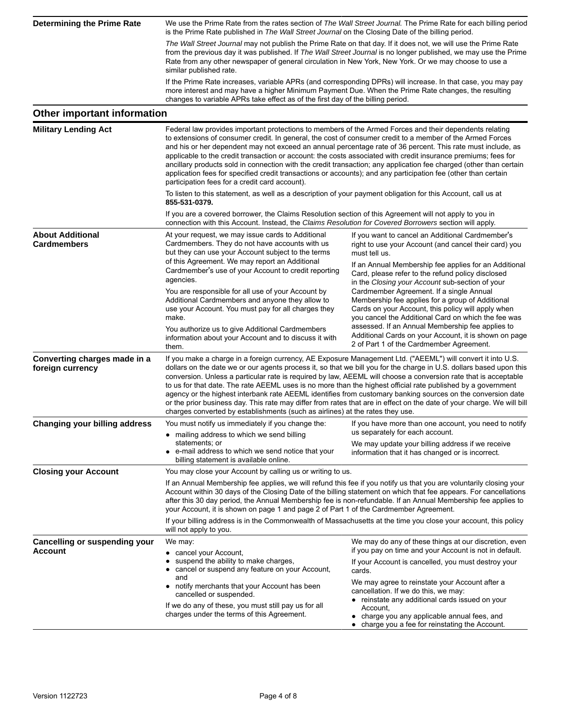| <b>Determining the Prime Rate</b>                | We use the Prime Rate from the rates section of The Wall Street Journal. The Prime Rate for each billing period<br>is the Prime Rate published in The Wall Street Journal on the Closing Date of the billing period.                                                                                                                                                                                                                                                                                                                                                                                                                                                                                                                                                                            |                                                                                                                                                                                                                                                                                                                     |
|--------------------------------------------------|-------------------------------------------------------------------------------------------------------------------------------------------------------------------------------------------------------------------------------------------------------------------------------------------------------------------------------------------------------------------------------------------------------------------------------------------------------------------------------------------------------------------------------------------------------------------------------------------------------------------------------------------------------------------------------------------------------------------------------------------------------------------------------------------------|---------------------------------------------------------------------------------------------------------------------------------------------------------------------------------------------------------------------------------------------------------------------------------------------------------------------|
|                                                  | The Wall Street Journal may not publish the Prime Rate on that day. If it does not, we will use the Prime Rate<br>from the previous day it was published. If The Wall Street Journal is no longer published, we may use the Prime<br>Rate from any other newspaper of general circulation in New York, New York. Or we may choose to use a<br>similar published rate.                                                                                                                                                                                                                                                                                                                                                                                                                           |                                                                                                                                                                                                                                                                                                                     |
|                                                  | If the Prime Rate increases, variable APRs (and corresponding DPRs) will increase. In that case, you may pay<br>more interest and may have a higher Minimum Payment Due. When the Prime Rate changes, the resulting<br>changes to variable APRs take effect as of the first day of the billing period.                                                                                                                                                                                                                                                                                                                                                                                                                                                                                          |                                                                                                                                                                                                                                                                                                                     |
| Other important information                      |                                                                                                                                                                                                                                                                                                                                                                                                                                                                                                                                                                                                                                                                                                                                                                                                 |                                                                                                                                                                                                                                                                                                                     |
| <b>Military Lending Act</b>                      | Federal law provides important protections to members of the Armed Forces and their dependents relating<br>to extensions of consumer credit. In general, the cost of consumer credit to a member of the Armed Forces<br>and his or her dependent may not exceed an annual percentage rate of 36 percent. This rate must include, as<br>applicable to the credit transaction or account: the costs associated with credit insurance premiums; fees for<br>ancillary products sold in connection with the credit transaction; any application fee charged (other than certain<br>application fees for specified credit transactions or accounts); and any participation fee (other than certain<br>participation fees for a credit card account).                                                 |                                                                                                                                                                                                                                                                                                                     |
|                                                  | To listen to this statement, as well as a description of your payment obligation for this Account, call us at<br>855-531-0379.                                                                                                                                                                                                                                                                                                                                                                                                                                                                                                                                                                                                                                                                  |                                                                                                                                                                                                                                                                                                                     |
|                                                  | If you are a covered borrower, the Claims Resolution section of this Agreement will not apply to you in<br>connection with this Account. Instead, the Claims Resolution for Covered Borrowers section will apply.                                                                                                                                                                                                                                                                                                                                                                                                                                                                                                                                                                               |                                                                                                                                                                                                                                                                                                                     |
| <b>About Additional</b><br><b>Cardmembers</b>    | At your request, we may issue cards to Additional<br>Cardmembers. They do not have accounts with us<br>but they can use your Account subject to the terms                                                                                                                                                                                                                                                                                                                                                                                                                                                                                                                                                                                                                                       | If you want to cancel an Additional Cardmember's<br>right to use your Account (and cancel their card) you<br>must tell us.                                                                                                                                                                                          |
|                                                  | of this Agreement. We may report an Additional<br>Cardmember's use of your Account to credit reporting<br>agencies.<br>You are responsible for all use of your Account by<br>Additional Cardmembers and anyone they allow to<br>use your Account. You must pay for all charges they                                                                                                                                                                                                                                                                                                                                                                                                                                                                                                             | If an Annual Membership fee applies for an Additional<br>Card, please refer to the refund policy disclosed<br>in the Closing your Account sub-section of your<br>Cardmember Agreement. If a single Annual<br>Membership fee applies for a group of Additional<br>Cards on your Account, this policy will apply when |
|                                                  | make.<br>You authorize us to give Additional Cardmembers<br>information about your Account and to discuss it with<br>them.                                                                                                                                                                                                                                                                                                                                                                                                                                                                                                                                                                                                                                                                      | you cancel the Additional Card on which the fee was<br>assessed. If an Annual Membership fee applies to<br>Additional Cards on your Account, it is shown on page<br>2 of Part 1 of the Cardmember Agreement.                                                                                                        |
| Converting charges made in a<br>foreign currency | If you make a charge in a foreign currency, AE Exposure Management Ltd. ("AEEML") will convert it into U.S.<br>dollars on the date we or our agents process it, so that we bill you for the charge in U.S. dollars based upon this<br>conversion. Unless a particular rate is required by law, AEEML will choose a conversion rate that is acceptable<br>to us for that date. The rate AEEML uses is no more than the highest official rate published by a government<br>agency or the highest interbank rate AEEML identifies from customary banking sources on the conversion date<br>or the prior business day. This rate may differ from rates that are in effect on the date of your charge. We will bill<br>charges converted by establishments (such as airlines) at the rates they use. |                                                                                                                                                                                                                                                                                                                     |
| <b>Changing your billing address</b>             | You must notify us immediately if you change the:                                                                                                                                                                                                                                                                                                                                                                                                                                                                                                                                                                                                                                                                                                                                               | If you have more than one account, you need to notify<br>us separately for each account.                                                                                                                                                                                                                            |
|                                                  | • mailing address to which we send billing<br>statements; or<br>• e-mail address to which we send notice that your<br>billing statement is available online.                                                                                                                                                                                                                                                                                                                                                                                                                                                                                                                                                                                                                                    | We may update your billing address if we receive<br>information that it has changed or is incorrect.                                                                                                                                                                                                                |
| <b>Closing your Account</b>                      | You may close your Account by calling us or writing to us.<br>If an Annual Membership fee applies, we will refund this fee if you notify us that you are voluntarily closing your<br>Account within 30 days of the Closing Date of the billing statement on which that fee appears. For cancellations<br>after this 30 day period, the Annual Membership fee is non-refundable. If an Annual Membership fee applies to<br>your Account, it is shown on page 1 and page 2 of Part 1 of the Cardmember Agreement.                                                                                                                                                                                                                                                                                 |                                                                                                                                                                                                                                                                                                                     |
|                                                  | If your billing address is in the Commonwealth of Massachusetts at the time you close your account, this policy<br>will not apply to you.                                                                                                                                                                                                                                                                                                                                                                                                                                                                                                                                                                                                                                                       |                                                                                                                                                                                                                                                                                                                     |
| <b>Cancelling or suspending your</b><br>Account  | We may:<br>• cancel your Account,                                                                                                                                                                                                                                                                                                                                                                                                                                                                                                                                                                                                                                                                                                                                                               | We may do any of these things at our discretion, even<br>if you pay on time and your Account is not in default.                                                                                                                                                                                                     |
|                                                  | suspend the ability to make charges,<br>• cancel or suspend any feature on your Account,                                                                                                                                                                                                                                                                                                                                                                                                                                                                                                                                                                                                                                                                                                        | If your Account is cancelled, you must destroy your<br>cards.                                                                                                                                                                                                                                                       |
|                                                  | and<br>• notify merchants that your Account has been<br>cancelled or suspended.                                                                                                                                                                                                                                                                                                                                                                                                                                                                                                                                                                                                                                                                                                                 | We may agree to reinstate your Account after a<br>cancellation. If we do this, we may:<br>• reinstate any additional cards issued on your                                                                                                                                                                           |
|                                                  | If we do any of these, you must still pay us for all<br>charges under the terms of this Agreement.                                                                                                                                                                                                                                                                                                                                                                                                                                                                                                                                                                                                                                                                                              | Account,<br>charge you any applicable annual fees, and<br>• charge you a fee for reinstating the Account.                                                                                                                                                                                                           |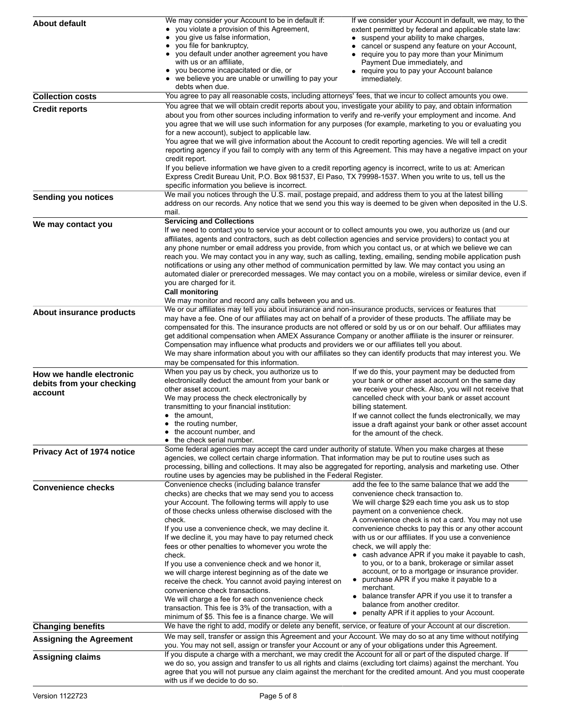| About default                                                                                                                            | We may consider your Account to be in default if:<br>• you violate a provision of this Agreement,                                                                                                                                                                             | If we consider your Account in default, we may, to the<br>extent permitted by federal and applicable state law:                                                                                                          |  |
|------------------------------------------------------------------------------------------------------------------------------------------|-------------------------------------------------------------------------------------------------------------------------------------------------------------------------------------------------------------------------------------------------------------------------------|--------------------------------------------------------------------------------------------------------------------------------------------------------------------------------------------------------------------------|--|
|                                                                                                                                          | you give us false information,                                                                                                                                                                                                                                                | • suspend your ability to make charges,                                                                                                                                                                                  |  |
|                                                                                                                                          | you file for bankruptcy,                                                                                                                                                                                                                                                      | • cancel or suspend any feature on your Account,                                                                                                                                                                         |  |
|                                                                                                                                          | • you default under another agreement you have                                                                                                                                                                                                                                | • require you to pay more than your Minimum                                                                                                                                                                              |  |
|                                                                                                                                          | with us or an affiliate,                                                                                                                                                                                                                                                      | Payment Due immediately, and                                                                                                                                                                                             |  |
|                                                                                                                                          | • you become incapacitated or die, or                                                                                                                                                                                                                                         | • require you to pay your Account balance                                                                                                                                                                                |  |
|                                                                                                                                          | • we believe you are unable or unwilling to pay your                                                                                                                                                                                                                          | immediately.                                                                                                                                                                                                             |  |
| <b>Collection costs</b>                                                                                                                  | debts when due.<br>You agree to pay all reasonable costs, including attorneys' fees, that we incur to collect amounts you owe.                                                                                                                                                |                                                                                                                                                                                                                          |  |
|                                                                                                                                          | You agree that we will obtain credit reports about you, investigate your ability to pay, and obtain information                                                                                                                                                               |                                                                                                                                                                                                                          |  |
| <b>Credit reports</b>                                                                                                                    | about you from other sources including information to verify and re-verify your employment and income. And<br>you agree that we will use such information for any purposes (for example, marketing to you or evaluating you<br>for a new account), subject to applicable law. |                                                                                                                                                                                                                          |  |
|                                                                                                                                          | You agree that we will give information about the Account to credit reporting agencies. We will tell a credit<br>credit report.                                                                                                                                               | reporting agency if you fail to comply with any term of this Agreement. This may have a negative impact on your                                                                                                          |  |
|                                                                                                                                          | If you believe information we have given to a credit reporting agency is incorrect, write to us at: American<br>Express Credit Bureau Unit, P.O. Box 981537, El Paso, TX 79998-1537. When you write to us, tell us the                                                        |                                                                                                                                                                                                                          |  |
|                                                                                                                                          | specific information you believe is incorrect.                                                                                                                                                                                                                                |                                                                                                                                                                                                                          |  |
| Sending you notices                                                                                                                      | We mail you notices through the U.S. mail, postage prepaid, and address them to you at the latest billing<br>address on our records. Any notice that we send you this way is deemed to be given when deposited in the U.S.<br>mail.                                           |                                                                                                                                                                                                                          |  |
| We may contact you                                                                                                                       | <b>Servicing and Collections</b>                                                                                                                                                                                                                                              |                                                                                                                                                                                                                          |  |
|                                                                                                                                          | If we need to contact you to service your account or to collect amounts you owe, you authorize us (and our                                                                                                                                                                    |                                                                                                                                                                                                                          |  |
|                                                                                                                                          | affiliates, agents and contractors, such as debt collection agencies and service providers) to contact you at<br>any phone number or email address you provide, from which you contact us, or at which we believe we can                                                      |                                                                                                                                                                                                                          |  |
|                                                                                                                                          |                                                                                                                                                                                                                                                                               |                                                                                                                                                                                                                          |  |
|                                                                                                                                          | reach you. We may contact you in any way, such as calling, texting, emailing, sending mobile application push<br>notifications or using any other method of communication permitted by law. We may contact you using an                                                       |                                                                                                                                                                                                                          |  |
|                                                                                                                                          | automated dialer or prerecorded messages. We may contact you on a mobile, wireless or similar device, even if                                                                                                                                                                 |                                                                                                                                                                                                                          |  |
|                                                                                                                                          | you are charged for it.                                                                                                                                                                                                                                                       |                                                                                                                                                                                                                          |  |
|                                                                                                                                          | <b>Call monitoring</b>                                                                                                                                                                                                                                                        |                                                                                                                                                                                                                          |  |
|                                                                                                                                          | We may monitor and record any calls between you and us.                                                                                                                                                                                                                       |                                                                                                                                                                                                                          |  |
| About insurance products                                                                                                                 |                                                                                                                                                                                                                                                                               | We or our affiliates may tell you about insurance and non-insurance products, services or features that<br>may have a fee. One of our affiliates may act on behalf of a provider of these products. The affiliate may be |  |
|                                                                                                                                          | compensated for this. The insurance products are not offered or sold by us or on our behalf. Our affiliates may                                                                                                                                                               |                                                                                                                                                                                                                          |  |
|                                                                                                                                          | get additional compensation when AMEX Assurance Company or another affiliate is the insurer or reinsurer.                                                                                                                                                                     |                                                                                                                                                                                                                          |  |
|                                                                                                                                          | Compensation may influence what products and providers we or our affiliates tell you about.                                                                                                                                                                                   |                                                                                                                                                                                                                          |  |
|                                                                                                                                          | We may share information about you with our affiliates so they can identify products that may interest you. We                                                                                                                                                                |                                                                                                                                                                                                                          |  |
|                                                                                                                                          | may be compensated for this information.                                                                                                                                                                                                                                      |                                                                                                                                                                                                                          |  |
| How we handle electronic                                                                                                                 | When you pay us by check, you authorize us to<br>electronically deduct the amount from your bank or                                                                                                                                                                           | If we do this, your payment may be deducted from<br>your bank or other asset account on the same day                                                                                                                     |  |
| debits from your checking                                                                                                                | other asset account.                                                                                                                                                                                                                                                          | we receive your check. Also, you will not receive that                                                                                                                                                                   |  |
| account                                                                                                                                  | We may process the check electronically by                                                                                                                                                                                                                                    | cancelled check with your bank or asset account                                                                                                                                                                          |  |
|                                                                                                                                          | transmitting to your financial institution:                                                                                                                                                                                                                                   | billing statement.                                                                                                                                                                                                       |  |
|                                                                                                                                          | $\bullet$ the amount,                                                                                                                                                                                                                                                         | If we cannot collect the funds electronically, we may                                                                                                                                                                    |  |
|                                                                                                                                          | the routing number,                                                                                                                                                                                                                                                           | issue a draft against your bank or other asset account                                                                                                                                                                   |  |
|                                                                                                                                          | • the account number, and<br>• the check serial number.                                                                                                                                                                                                                       | for the amount of the check.                                                                                                                                                                                             |  |
| Privacy Act of 1974 notice                                                                                                               | Some federal agencies may accept the card under authority of statute. When you make charges at these                                                                                                                                                                          |                                                                                                                                                                                                                          |  |
|                                                                                                                                          | agencies, we collect certain charge information. That information may be put to routine uses such as                                                                                                                                                                          |                                                                                                                                                                                                                          |  |
|                                                                                                                                          | processing, billing and collections. It may also be aggregated for reporting, analysis and marketing use. Other                                                                                                                                                               |                                                                                                                                                                                                                          |  |
|                                                                                                                                          | routine uses by agencies may be published in the Federal Register.                                                                                                                                                                                                            |                                                                                                                                                                                                                          |  |
| <b>Convenience checks</b>                                                                                                                | Convenience checks (including balance transfer<br>checks) are checks that we may send you to access                                                                                                                                                                           | add the fee to the same balance that we add the<br>convenience check transaction to.                                                                                                                                     |  |
|                                                                                                                                          | your Account. The following terms will apply to use                                                                                                                                                                                                                           | We will charge \$29 each time you ask us to stop                                                                                                                                                                         |  |
|                                                                                                                                          | of those checks unless otherwise disclosed with the                                                                                                                                                                                                                           | payment on a convenience check.                                                                                                                                                                                          |  |
|                                                                                                                                          | check.                                                                                                                                                                                                                                                                        | A convenience check is not a card. You may not use                                                                                                                                                                       |  |
|                                                                                                                                          | If you use a convenience check, we may decline it.                                                                                                                                                                                                                            | convenience checks to pay this or any other account                                                                                                                                                                      |  |
|                                                                                                                                          | If we decline it, you may have to pay returned check                                                                                                                                                                                                                          | with us or our affiliates. If you use a convenience                                                                                                                                                                      |  |
|                                                                                                                                          | fees or other penalties to whomever you wrote the<br>check.                                                                                                                                                                                                                   | check, we will apply the:<br>• cash advance APR if you make it payable to cash,                                                                                                                                          |  |
|                                                                                                                                          | If you use a convenience check and we honor it,                                                                                                                                                                                                                               | to you, or to a bank, brokerage or similar asset                                                                                                                                                                         |  |
|                                                                                                                                          | we will charge interest beginning as of the date we                                                                                                                                                                                                                           | account, or to a mortgage or insurance provider.                                                                                                                                                                         |  |
|                                                                                                                                          | receive the check. You cannot avoid paying interest on                                                                                                                                                                                                                        | • purchase APR if you make it payable to a                                                                                                                                                                               |  |
|                                                                                                                                          | convenience check transactions.                                                                                                                                                                                                                                               | merchant.<br>• balance transfer APR if you use it to transfer a                                                                                                                                                          |  |
|                                                                                                                                          | We will charge a fee for each convenience check                                                                                                                                                                                                                               | balance from another creditor.                                                                                                                                                                                           |  |
|                                                                                                                                          | transaction. This fee is 3% of the transaction, with a<br>minimum of \$5. This fee is a finance charge. We will                                                                                                                                                               | • penalty APR if it applies to your Account.                                                                                                                                                                             |  |
| <b>Changing benefits</b>                                                                                                                 | We have the right to add, modify or delete any benefit, service, or feature of your Account at our discretion.                                                                                                                                                                |                                                                                                                                                                                                                          |  |
|                                                                                                                                          | We may sell, transfer or assign this Agreement and your Account. We may do so at any time without notifying                                                                                                                                                                   |                                                                                                                                                                                                                          |  |
| <b>Assigning the Agreement</b>                                                                                                           | you. You may not sell, assign or transfer your Account or any of your obligations under this Agreement.                                                                                                                                                                       |                                                                                                                                                                                                                          |  |
| If you dispute a charge with a merchant, we may credit the Account for all or part of the disputed charge. If<br><b>Assigning claims</b> |                                                                                                                                                                                                                                                                               |                                                                                                                                                                                                                          |  |
|                                                                                                                                          | we do so, you assign and transfer to us all rights and claims (excluding tort claims) against the merchant. You                                                                                                                                                               |                                                                                                                                                                                                                          |  |
|                                                                                                                                          | with us if we decide to do so.                                                                                                                                                                                                                                                | agree that you will not pursue any claim against the merchant for the credited amount. And you must cooperate                                                                                                            |  |
|                                                                                                                                          |                                                                                                                                                                                                                                                                               |                                                                                                                                                                                                                          |  |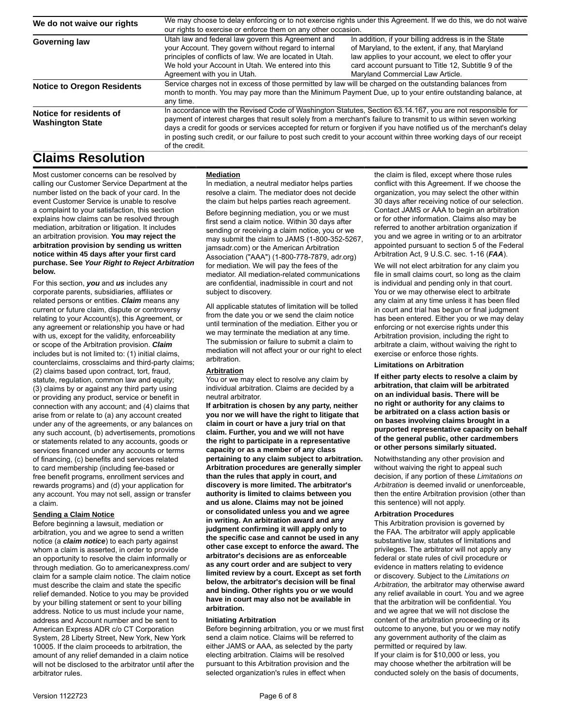| We do not waive our rights                         | We may choose to delay enforcing or to not exercise rights under this Agreement. If we do this, we do not waive<br>our rights to exercise or enforce them on any other occasion.                                                                                                                                                                                                                                                                                                              |                                                                                                                                                                                                                                                              |
|----------------------------------------------------|-----------------------------------------------------------------------------------------------------------------------------------------------------------------------------------------------------------------------------------------------------------------------------------------------------------------------------------------------------------------------------------------------------------------------------------------------------------------------------------------------|--------------------------------------------------------------------------------------------------------------------------------------------------------------------------------------------------------------------------------------------------------------|
| <b>Governing law</b>                               | Utah law and federal law govern this Agreement and<br>your Account. They govern without regard to internal<br>principles of conflicts of law. We are located in Utah.<br>We hold your Account in Utah. We entered into this<br>Agreement with you in Utah.                                                                                                                                                                                                                                    | In addition, if your billing address is in the State<br>of Maryland, to the extent, if any, that Maryland<br>law applies to your account, we elect to offer your<br>card account pursuant to Title 12, Subtitle 9 of the<br>Maryland Commercial Law Article. |
| <b>Notice to Oregon Residents</b>                  | Service charges not in excess of those permitted by law will be charged on the outstanding balances from<br>month to month. You may pay more than the Minimum Payment Due, up to your entire outstanding balance, at<br>any time.                                                                                                                                                                                                                                                             |                                                                                                                                                                                                                                                              |
| Notice for residents of<br><b>Washington State</b> | In accordance with the Revised Code of Washington Statutes, Section 63.14.167, you are not responsible for<br>payment of interest charges that result solely from a merchant's failure to transmit to us within seven working<br>days a credit for goods or services accepted for return or forgiven if you have notified us of the merchant's delay<br>in posting such credit, or our failure to post such credit to your account within three working days of our receipt<br>of the credit. |                                                                                                                                                                                                                                                              |

## **Claims Resolution**

Most customer concerns can be resolved by calling our Customer Service Department at the number listed on the back of your card. In the event Customer Service is unable to resolve a complaint to your satisfaction, this section explains how claims can be resolved through mediation, arbitration or litigation. It includes an arbitration provision. **You may reject the arbitration provision by sending us written notice within 45 days after your first card purchase. See** *Your Right to Reject Arbitration* **below.**

For this section, *you* and *us* includes any corporate parents, subsidiaries, affiliates or related persons or entities. *Claim* means any current or future claim, dispute or controversy relating to your Account(s), this Agreement, or any agreement or relationship you have or had with us, except for the validity, enforceability or scope of the Arbitration provision. *Claim* includes but is not limited to: (1) initial claims, counterclaims, crossclaims and third-party claims; (2) claims based upon contract, tort, fraud, statute, regulation, common law and equity; (3) claims by or against any third party using or providing any product, service or benefit in connection with any account; and (4) claims that arise from or relate to (a) any account created under any of the agreements, or any balances on any such account, (b) advertisements, promotions or statements related to any accounts, goods or services financed under any accounts or terms of financing, (c) benefits and services related to card membership (including fee-based or free benefit programs, enrollment services and rewards programs) and (d) your application for any account. You may not sell, assign or transfer a claim.

## **Sending a Claim Notice**

Before beginning a lawsuit, mediation or arbitration, you and we agree to send a written notice (a *claim notice*) to each party against whom a claim is asserted, in order to provide an opportunity to resolve the claim informally or through mediation. Go to americanexpress.com/ claim for a sample claim notice. The claim notice must describe the claim and state the specific relief demanded. Notice to you may be provided by your billing statement or sent to your billing address. Notice to us must include your name, address and Account number and be sent to American Express ADR c/o CT Corporation System, 28 Liberty Street, New York, New York 10005. If the claim proceeds to arbitration, the amount of any relief demanded in a claim notice will not be disclosed to the arbitrator until after the arbitrator rules.

#### **Mediation**

In mediation, a neutral mediator helps parties resolve a claim. The mediator does not decide the claim but helps parties reach agreement. Before beginning mediation, you or we must first send a claim notice. Within 30 days after sending or receiving a claim notice, you or we may submit the claim to JAMS (1-800-352-5267, jamsadr.com) or the American Arbitration Association ("AAA") (1-800-778-7879, adr.org) for mediation. We will pay the fees of the mediator. All mediation-related communications are confidential, inadmissible in court and not subject to discovery.

All applicable statutes of limitation will be tolled from the date you or we send the claim notice until termination of the mediation. Either you or we may terminate the mediation at any time. The submission or failure to submit a claim to mediation will not affect your or our right to elect arbitration.

## **Arbitration**

You or we may elect to resolve any claim by individual arbitration. Claims are decided by a neutral arbitrator.

**If arbitration is chosen by any party, neither you nor we will have the right to litigate that claim in court or have a jury trial on that claim. Further, you and we will not have the right to participate in a representative capacity or as a member of any class pertaining to any claim subject to arbitration. Arbitration procedures are generally simpler than the rules that apply in court, and discovery is more limited. The arbitrator's authority is limited to claims between you and us alone. Claims may not be joined or consolidated unless you and we agree in writing. An arbitration award and any judgment confirming it will apply only to the specific case and cannot be used in any other case except to enforce the award. The arbitrator's decisions are as enforceable as any court order and are subject to very limited review by a court. Except as set forth below, the arbitrator's decision will be final and binding. Other rights you or we would have in court may also not be available in arbitration.**

## **Initiating Arbitration**

Before beginning arbitration, you or we must first send a claim notice. Claims will be referred to either JAMS or AAA, as selected by the party electing arbitration. Claims will be resolved pursuant to this Arbitration provision and the selected organization's rules in effect when

the claim is filed, except where those rules conflict with this Agreement. If we choose the organization, you may select the other within 30 days after receiving notice of our selection. Contact JAMS or AAA to begin an arbitration or for other information. Claims also may be referred to another arbitration organization if you and we agree in writing or to an arbitrator appointed pursuant to section 5 of the Federal Arbitration Act, 9 U.S.C. sec. 1-16 (*FAA*).

We will not elect arbitration for any claim you file in small claims court, so long as the claim is individual and pending only in that court. You or we may otherwise elect to arbitrate any claim at any time unless it has been filed in court and trial has begun or final judgment has been entered. Either you or we may delay enforcing or not exercise rights under this Arbitration provision, including the right to arbitrate a claim, without waiving the right to exercise or enforce those rights.

#### **Limitations on Arbitration**

**If either party elects to resolve a claim by arbitration, that claim will be arbitrated on an individual basis. There will be no right or authority for any claims to be arbitrated on a class action basis or on bases involving claims brought in a purported representative capacity on behalf of the general public, other cardmembers or other persons similarly situated.**

Notwithstanding any other provision and without waiving the right to appeal such decision, if any portion of these *Limitations on Arbitration* is deemed invalid or unenforceable, then the entire Arbitration provision (other than this sentence) will not apply.

#### **Arbitration Procedures**

This Arbitration provision is governed by the FAA. The arbitrator will apply applicable substantive law, statutes of limitations and privileges. The arbitrator will not apply any federal or state rules of civil procedure or evidence in matters relating to evidence or discovery. Subject to the *Limitations on Arbitration,* the arbitrator may otherwise award any relief available in court. You and we agree that the arbitration will be confidential. You and we agree that we will not disclose the content of the arbitration proceeding or its outcome to anyone, but you or we may notify any government authority of the claim as permitted or required by law. If your claim is for \$10,000 or less, you may choose whether the arbitration will be conducted solely on the basis of documents,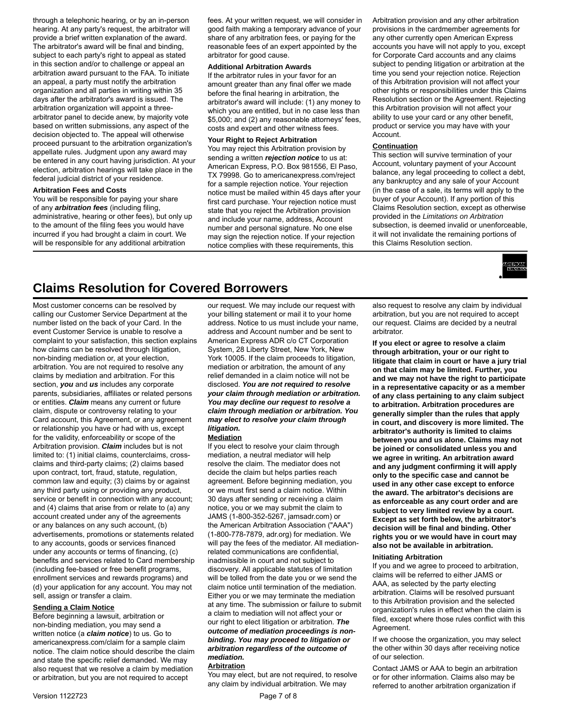through a telephonic hearing, or by an in-person hearing. At any party's request, the arbitrator will provide a brief written explanation of the award. The arbitrator's award will be final and binding, subject to each party's right to appeal as stated in this section and/or to challenge or appeal an arbitration award pursuant to the FAA. To initiate an appeal, a party must notify the arbitration organization and all parties in writing within 35 days after the arbitrator's award is issued. The arbitration organization will appoint a threearbitrator panel to decide anew, by majority vote based on written submissions, any aspect of the decision objected to. The appeal will otherwise proceed pursuant to the arbitration organization's appellate rules. Judgment upon any award may be entered in any court having jurisdiction. At your election, arbitration hearings will take place in the federal judicial district of your residence.

#### **Arbitration Fees and Costs**

You will be responsible for paying your share of any *arbitration fees* (including filing, administrative, hearing or other fees), but only up to the amount of the filing fees you would have incurred if you had brought a claim in court. We will be responsible for any additional arbitration

fees. At your written request, we will consider in good faith making a temporary advance of your share of any arbitration fees, or paying for the reasonable fees of an expert appointed by the arbitrator for good cause.

#### **Additional Arbitration Awards**

If the arbitrator rules in your favor for an amount greater than any final offer we made before the final hearing in arbitration, the arbitrator's award will include: (1) any money to which you are entitled, but in no case less than \$5,000; and (2) any reasonable attorneys' fees, costs and expert and other witness fees.

#### **Your Right to Reject Arbitration**

You may reject this Arbitration provision by sending a written *rejection notice* to us at: American Express, P.O. Box 981556, El Paso, TX 79998. Go to americanexpress.com/reject for a sample rejection notice. Your rejection notice must be mailed within 45 days after your first card purchase. Your rejection notice must state that you reject the Arbitration provision and include your name, address, Account number and personal signature. No one else may sign the rejection notice. If your rejection notice complies with these requirements, this

Arbitration provision and any other arbitration provisions in the cardmember agreements for any other currently open American Express accounts you have will not apply to you, except for Corporate Card accounts and any claims subject to pending litigation or arbitration at the time you send your rejection notice. Rejection of this Arbitration provision will not affect your other rights or responsibilities under this Claims Resolution section or the Agreement. Rejecting this Arbitration provision will not affect your ability to use your card or any other benefit, product or service you may have with your Account.

## **Continuation**

This section will survive termination of your Account, voluntary payment of your Account balance, any legal proceeding to collect a debt, any bankruptcy and any sale of your Account (in the case of a sale, its terms will apply to the buyer of your Account). If any portion of this Claims Resolution section, except as otherwise provided in the *Limitations on Arbitration* subsection, is deemed invalid or unenforceable, it will not invalidate the remaining portions of this Claims Resolution section.



## **Claims Resolution for Covered Borrowers**

Most customer concerns can be resolved by calling our Customer Service Department at the number listed on the back of your Card. In the event Customer Service is unable to resolve a complaint to your satisfaction, this section explains how claims can be resolved through litigation, non-binding mediation or, at your election, arbitration. You are not required to resolve any claims by mediation and arbitration. For this section, *you* and *us* includes any corporate parents, subsidiaries, affiliates or related persons or entities. *Claim* means any current or future claim, dispute or controversy relating to your Card account, this Agreement, or any agreement or relationship you have or had with us, except for the validity, enforceability or scope of the Arbitration provision. *Claim* includes but is not limited to: (1) initial claims, counterclaims, crossclaims and third-party claims; (2) claims based upon contract, tort, fraud, statute, regulation, common law and equity; (3) claims by or against any third party using or providing any product, service or benefit in connection with any account; and (4) claims that arise from or relate to (a) any account created under any of the agreements or any balances on any such account, (b) advertisements, promotions or statements related to any accounts, goods or services financed under any accounts or terms of financing, (c) benefits and services related to Card membership (including fee-based or free benefit programs, enrollment services and rewards programs) and (d) your application for any account. You may not sell, assign or transfer a claim.

#### **Sending a Claim Notice**

Before beginning a lawsuit, arbitration or non-binding mediation, you may send a written notice (a *claim notice*) to us. Go to americanexpress.com/claim for a sample claim notice. The claim notice should describe the claim and state the specific relief demanded. We may also request that we resolve a claim by mediation or arbitration, but you are not required to accept

our request. We may include our request with your billing statement or mail it to your home address. Notice to us must include your name, address and Account number and be sent to American Express ADR c/o CT Corporation System, 28 Liberty Street, New York, New York 10005. If the claim proceeds to litigation, mediation or arbitration, the amount of any relief demanded in a claim notice will not be disclosed. *You are not required to resolve your claim through mediation or arbitration. You may decline our request to resolve a claim through mediation or arbitration. You may elect to resolve your claim through litigation.*

#### **Mediation**

If you elect to resolve your claim through mediation, a neutral mediator will help resolve the claim. The mediator does not decide the claim but helps parties reach agreement. Before beginning mediation, you or we must first send a claim notice. Within 30 days after sending or receiving a claim notice, you or we may submit the claim to JAMS (1-800-352-5267, jamsadr.com) or the American Arbitration Association ("AAA") (1-800-778-7879, adr.org) for mediation. We will pay the fees of the mediator. All mediationrelated communications are confidential, inadmissible in court and not subject to discovery. All applicable statutes of limitation will be tolled from the date you or we send the claim notice until termination of the mediation. Either you or we may terminate the mediation at any time. The submission or failure to submit a claim to mediation will not affect your or our right to elect litigation or arbitration. *The outcome of mediation proceedings is nonbinding. You may proceed to litigation or arbitration regardless of the outcome of mediation.*

#### **Arbitration**

You may elect, but are not required, to resolve any claim by individual arbitration. We may

also request to resolve any claim by individual arbitration, but you are not required to accept our request. Claims are decided by a neutral arbitrator.

**If you elect or agree to resolve a claim through arbitration, your or our right to litigate that claim in court or have a jury trial on that claim may be limited. Further, you and we may not have the right to participate in a representative capacity or as a member of any class pertaining to any claim subject to arbitration. Arbitration procedures are generally simpler than the rules that apply in court, and discovery is more limited. The arbitrator's authority is limited to claims between you and us alone. Claims may not be joined or consolidated unless you and we agree in writing. An arbitration award and any judgment confirming it will apply only to the specific case and cannot be used in any other case except to enforce the award. The arbitrator's decisions are as enforceable as any court order and are subject to very limited review by a court. Except as set forth below, the arbitrator's decision will be final and binding. Other rights you or we would have in court may also not be available in arbitration.**

#### **Initiating Arbitration**

If you and we agree to proceed to arbitration, claims will be referred to either JAMS or AAA, as selected by the party electing arbitration. Claims will be resolved pursuant to this Arbitration provision and the selected organization's rules in effect when the claim is filed, except where those rules conflict with this Agreement.

If we choose the organization, you may select the other within 30 days after receiving notice of our selection.

Contact JAMS or AAA to begin an arbitration or for other information. Claims also may be referred to another arbitration organization if